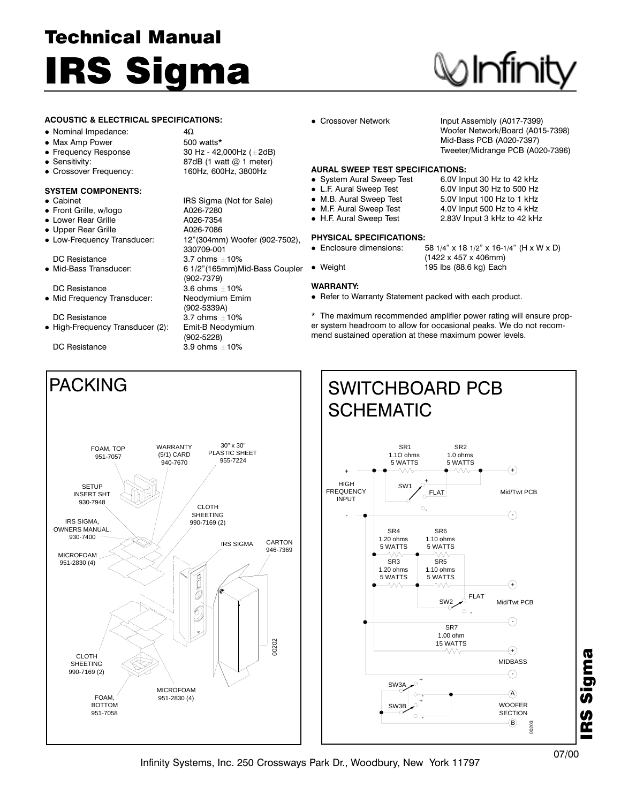## Technical Manual IRS Sigma

## Infinit

#### ACOUSTIC & ELECTRICAL SPECIFICATIONS:

#### • Nominal Impedance:  $4\Omega$

- Max Amp Power 500 watts\*
- Frequency Response  $\overline{30 \text{ Hz}}$  42,000Hz ( $\pm$  2dB)<br>
Sensitivity:  $\overline{37}$  87dB (1 watt @ 1 meter)
- 
- Crossover Frequency: 160Hz, 600Hz, 3800Hz

#### SYSTEM COMPONENTS:

- 
- Front Grille, w/logo A026-7280
- $\bullet$  Lower Rear Grille
- Upper Rear Grille A026-7086
- 

DC Resistance  $3.6$  ohms  $\pm 10\%$ 

- 
- $\bullet$  High-Frequency Transducer (2):

• Cabinet **IRS Sigma (Not for Sale)**  Low-Frequency Transducer: 12"(304mm) Woofer (902-7502), 330709-001 DC Resistance  $\bullet$  3.7 ohms  $\pm$ 10%<br>  $\bullet$  Mid-Bass Transducer:  $\bullet$  6 1/2"(165mm)M 6 1/2"(165mm)Mid-Bass Coupler (902-7379) • Mid Frequency Transducer: Neodymium Emim (902-5339A) DC Resistance 10 3.7 ohms ±10%<br>High-Freguency Transducer (2): 1 Emit-B Neodymium (902-5228) DC Resistance  $3.9$  ohms  $\pm 10\%$ 

87dB (1 watt  $@$  1 meter)

• Crossover Network Input Assembly (A017-7399) Woofer Network/Board (A015-7398) Mid-Bass PCB (A020-7397) Tweeter/Midrange PCB (A020-7396)

5.0V Input 100 Hz to 1 kHz

### AURAL SWEEP TEST SPECIFICATIONS:<br>● System Aural Sweep Test 6.0V Input 30 Hz to 42 kHz

- System Aural Sweep Test
- L.F. Aural Sweep Test 6.0V Input 30 Hz to 500 Hz<br>● M.B. Aural Sweep Test 5.0V Input 100 Hz to 1 kHz
- 
- M.F. Aural Sweep Test 4.0V Input 500 Hz to 4 kHz
- H.F. Aural Sweep Test 2.83V Input 3 kHz to 42 kHz

#### PHYSICAL SPECIFICATIONS:

- Enclosure dimensions:  $58 \frac{1}{4}$  x 18  $\frac{1}{2}$  x 16- $\frac{1}{4}$  (H x W x D)
- Weight 195 lbs (88.6 kg) Each

#### WARRANTY:

Refer to Warranty Statement packed with each product.

\* The maximum recommended amplifier power rating will ensure proper system headroom to allow for occasional peaks. We do not recommend sustained operation at these maximum power levels.

(1422 x 457 x 406mm)





Infinity Systems, Inc. 250 Crossways Park Dr., Woodbury, New York 11797

IRS Sigma

Sigma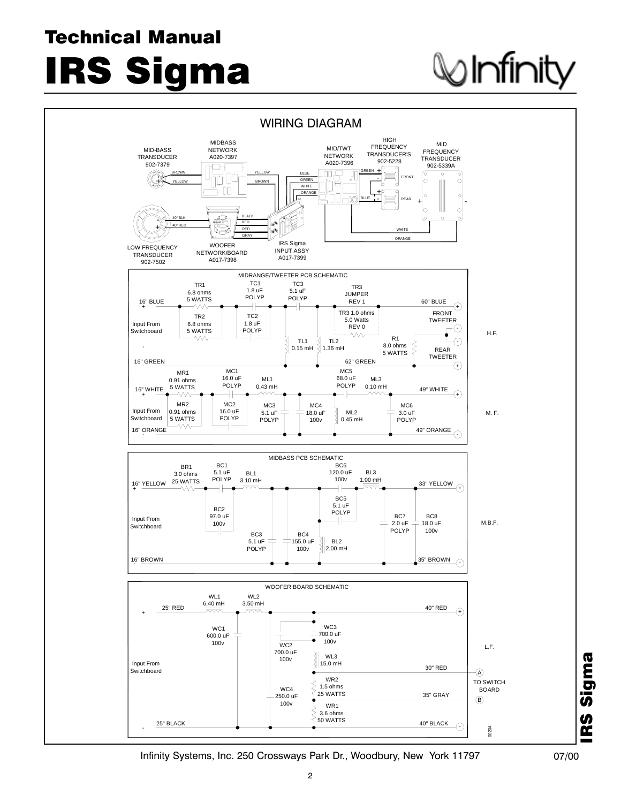### Technical Manual

IRS Sigma

# ) Infinity



Infinity Systems, Inc. 250 Crossways Park Dr., Woodbury, New York 11797 07/00